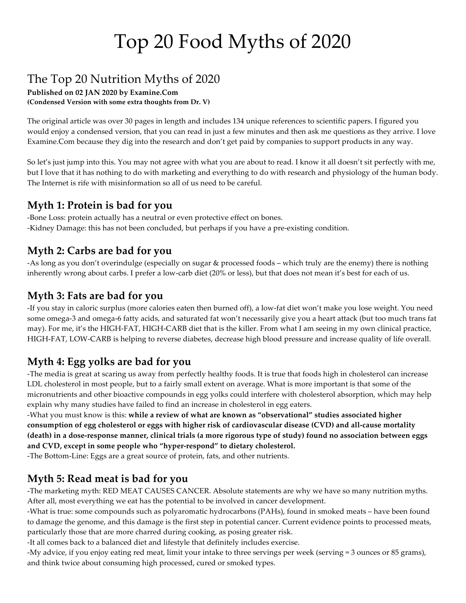# Top 20 Food Myths of 2020

## The Top 20 Nutrition Myths of 2020

**Published on 02 JAN 2020 by Examine.Com (Condensed Version with some extra thoughts from Dr. V)**

The original article was over 30 pages in length and includes 134 unique references to scientific papers. I figured you would enjoy a condensed version, that you can read in just a few minutes and then ask me questions as they arrive. I love Examine.Com because they dig into the research and don't get paid by companies to support products in any way.

So let's just jump into this. You may not agree with what you are about to read. I know it all doesn't sit perfectly with me, but I love that it has nothing to do with marketing and everything to do with research and physiology of the human body. The Internet is rife with misinformation so all of us need to be careful.

#### **Myth 1: Protein is bad for you**

-Bone Loss: protein actually has a neutral or even protective effect on bones. -Kidney Damage: this has not been concluded, but perhaps if you have a pre-existing condition.

#### **Myth 2: Carbs are bad for you**

-As long as you don't overindulge (especially on sugar & processed foods – which truly are the enemy) there is nothing inherently wrong about carbs. I prefer a low-carb diet (20% or less), but that does not mean it's best for each of us.

#### **Myth 3: Fats are bad for you**

-If you stay in caloric surplus (more calories eaten then burned off), a low-fat diet won't make you lose weight. You need some omega-3 and omega-6 fatty acids, and saturated fat won't necessarily give you a heart attack (but too much trans fat may). For me, it's the HIGH-FAT, HIGH-CARB diet that is the killer. From what I am seeing in my own clinical practice, HIGH-FAT, LOW-CARB is helping to reverse diabetes, decrease high blood pressure and increase quality of life overall.

#### **Myth 4: Egg yolks are bad for you**

-The media is great at scaring us away from perfectly healthy foods. It is true that foods high in cholesterol can increase LDL cholesterol in most people, but to a fairly small extent on average. What is more important is that some of the micronutrients and other bioactive compounds in egg yolks could interfere with cholesterol absorption, which may help explain why many studies have failed to find an increase in cholesterol in egg eaters.

-What you must know is this: **while a review of what are known as "observational" studies associated higher consumption of egg cholesterol or eggs with higher risk of cardiovascular disease (CVD) and all-cause mortality (death) in a dose-response manner, clinical trials (a more rigorous type of study) found no association between eggs and CVD, except in some people who "hyper-respond" to dietary cholesterol.**

-The Bottom-Line: Eggs are a great source of protein, fats, and other nutrients.

## **Myth 5: Read meat is bad for you**

-The marketing myth: RED MEAT CAUSES CANCER. Absolute statements are why we have so many nutrition myths. After all, most everything we eat has the potential to be involved in cancer development.

-What is true: some compounds such as polyaromatic hydrocarbons (PAHs), found in smoked meats – have been found to damage the genome, and this damage is the first step in potential cancer. Current evidence points to processed meats, particularly those that are more charred during cooking, as posing greater risk.

-It all comes back to a balanced diet and lifestyle that definitely includes exercise.

-My advice, if you enjoy eating red meat, limit your intake to three servings per week (serving = 3 ounces or 85 grams), and think twice about consuming high processed, cured or smoked types.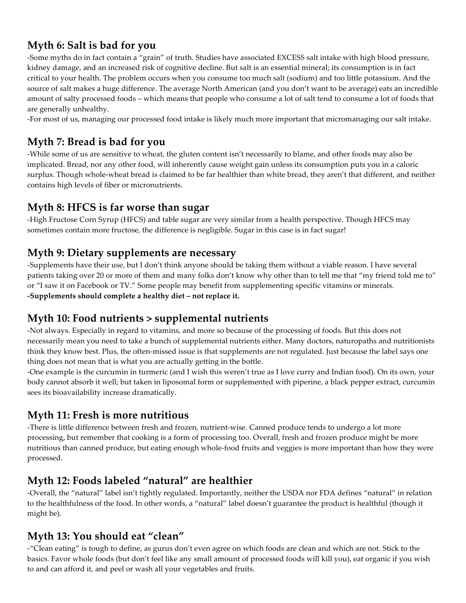## **Myth 6: Salt is bad for you**

-Some myths do in fact contain a "grain" of truth. Studies have associated EXCESS salt intake with high blood pressure, kidney damage, and an increased risk of cognitive decline. But salt is an essential mineral; its consumption is in fact critical to your health. The problem occurs when you consume too much salt (sodium) and too little potassium. And the source of salt makes a huge difference. The average North American (and you don't want to be average) eats an incredible amount of salty processed foods – which means that people who consume a lot of salt tend to consume a lot of foods that are generally unhealthy.

-For most of us, managing our processed food intake is likely much more important that micromanaging our salt intake.

### **Myth 7: Bread is bad for you**

-While some of us are sensitive to wheat, the gluten content isn't necessarily to blame, and other foods may also be implicated. Bread, nor any other food, will inherently cause weight gain unless its consumption puts you in a caloric surplus. Though whole-wheat bread is claimed to be far healthier than white bread, they aren't that different, and neither contains high levels of fiber or micronutrients.

#### **Myth 8: HFCS is far worse than sugar**

-High Fructose Corn Syrup (HFCS) and table sugar are very similar from a health perspective. Though HFCS may sometimes contain more fructose, the difference is negligible. Sugar in this case is in fact sugar!

#### **Myth 9: Dietary supplements are necessary**

-Supplements have their use, but I don't think anyone should be taking them without a viable reason. I have several patients taking over 20 or more of them and many folks don't know why other than to tell me that "my friend told me to" or "I saw it on Facebook or TV." Some people may benefit from supplementing specific vitamins or minerals. **-Supplements should complete a healthy diet – not replace it.** 

#### **Myth 10: Food nutrients > supplemental nutrients**

-Not always. Especially in regard to vitamins, and more so because of the processing of foods. But this does not necessarily mean you need to take a bunch of supplemental nutrients either. Many doctors, naturopaths and nutritionists think they know best. Plus, the often-missed issue is that supplements are not regulated. Just because the label says one thing does not mean that is what you are actually getting in the bottle.

-One example is the curcumin in turmeric (and I wish this weren't true as I love curry and Indian food). On its own, your body cannot absorb it well; but taken in liposomal form or supplemented with piperine, a black pepper extract, curcumin sees its bioavailability increase dramatically.

#### **Myth 11: Fresh is more nutritious**

-There is little difference between fresh and frozen, nutrient-wise. Canned produce tends to undergo a lot more processing, but remember that cooking is a form of processing too. Overall, fresh and frozen produce might be more nutritious than canned produce, but eating enough whole-food fruits and veggies is more important than how they were processed.

#### **Myth 12: Foods labeled "natural" are healthier**

-Overall, the "natural" label isn't tightly regulated. Importantly, neither the USDA nor FDA defines "natural" in relation to the healthfulness of the food. In other words, a "natural" label doesn't guarantee the product is healthful (though it might be).

#### **Myth 13: You should eat "clean"**

-"Clean eating" is tough to define, as gurus don't even agree on which foods are clean and which are not. Stick to the basics. Favor whole foods (but don't feel like any small amount of processed foods will kill you), eat organic if you wish to and can afford it, and peel or wash all your vegetables and fruits.